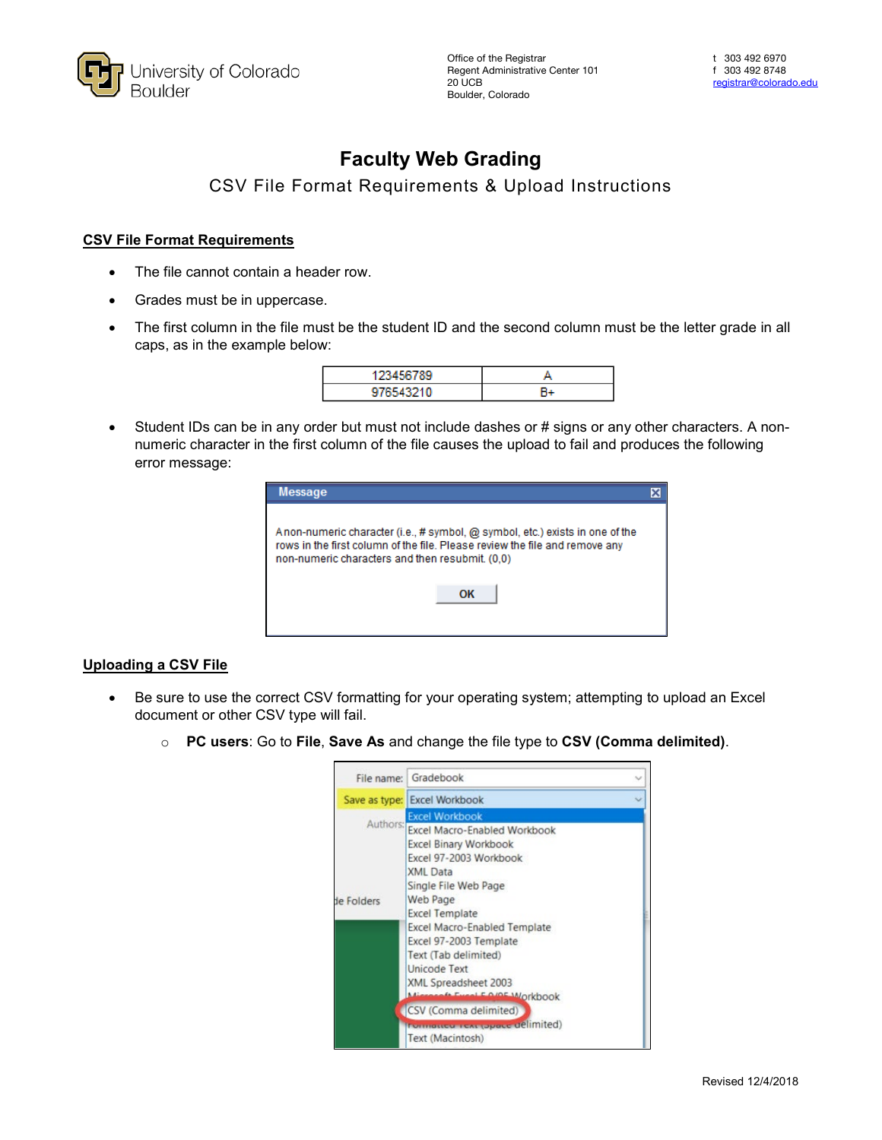

# **Faculty Web Grading**

## CSV File Format Requirements & Upload Instructions

#### **CSV File Format Requirements**

- The file cannot contain a header row.
- Grades must be in uppercase.
- The first column in the file must be the student ID and the second column must be the letter grade in all caps, as in the example below:

• Student IDs can be in any order but must not include dashes or # signs or any other characters. A nonnumeric character in the first column of the file causes the upload to fail and produces the following error message:

| <b>Message</b>                                                                                                                                                                                                 |  |
|----------------------------------------------------------------------------------------------------------------------------------------------------------------------------------------------------------------|--|
| Anon-numeric character (i.e., # symbol, @ symbol, etc.) exists in one of the<br>rows in the first column of the file. Please review the file and remove any<br>non-numeric characters and then resubmit. (0,0) |  |
| OK                                                                                                                                                                                                             |  |

### **Uploading a CSV File**

- Be sure to use the correct CSV formatting for your operating system; attempting to upload an Excel document or other CSV type will fail.
	- o **PC users**: Go to **File**, **Save As** and change the file type to **CSV (Comma delimited)**.

|                        | File name: Gradebook                                                                                                                                                                                                                                                                                                                                                           |  |
|------------------------|--------------------------------------------------------------------------------------------------------------------------------------------------------------------------------------------------------------------------------------------------------------------------------------------------------------------------------------------------------------------------------|--|
|                        | Save as type: Excel Workbook                                                                                                                                                                                                                                                                                                                                                   |  |
| Authors:<br>de Folders | <b>Excel Workbook</b><br><b>Excel Macro-Enabled Workbook</b><br><b>Excel Binary Workbook</b><br>Excel 97-2003 Workbook<br><b>XML</b> Data<br>Single File Web Page<br>Web Page<br><b>Excel Template</b><br><b>Excel Macro-Enabled Template</b><br>Excel 97-2003 Template<br>Text (Tab delimited)<br><b>Unicode Text</b><br>XML Spreadsheet 2003<br><b>Event E O/OF Workbook</b> |  |
|                        | CSV (Comma delimited)                                                                                                                                                                                                                                                                                                                                                          |  |
|                        | <b>Tomatico TeAt (opera delimited)</b><br>Text (Macintosh)                                                                                                                                                                                                                                                                                                                     |  |